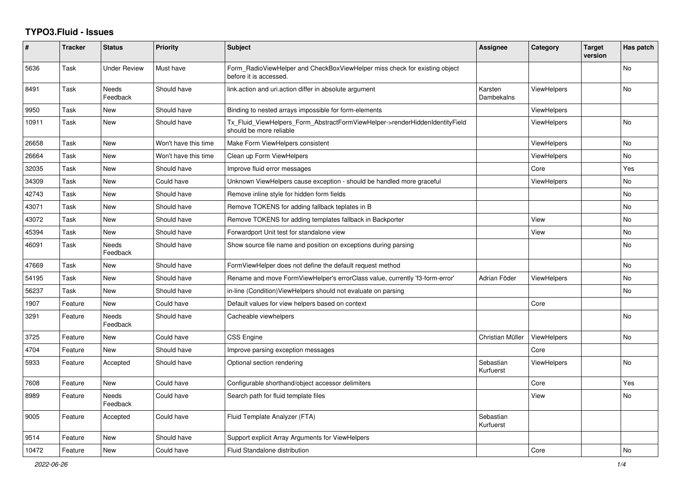## **TYPO3.Fluid - Issues**

| #     | <b>Tracker</b> | <b>Status</b>            | <b>Priority</b>      | <b>Subject</b>                                                                                         | Assignee               | Category           | <b>Target</b><br>version | Has patch      |
|-------|----------------|--------------------------|----------------------|--------------------------------------------------------------------------------------------------------|------------------------|--------------------|--------------------------|----------------|
| 5636  | Task           | Under Review             | Must have            | Form RadioViewHelper and CheckBoxViewHelper miss check for existing object<br>before it is accessed.   |                        |                    |                          | No             |
| 8491  | Task           | <b>Needs</b><br>Feedback | Should have          | link.action and uri.action differ in absolute argument                                                 | Karsten<br>Dambekalns  | <b>ViewHelpers</b> |                          | <b>No</b>      |
| 9950  | Task           | New                      | Should have          | Binding to nested arrays impossible for form-elements                                                  |                        | ViewHelpers        |                          |                |
| 10911 | Task           | New                      | Should have          | Tx_Fluid_ViewHelpers_Form_AbstractFormViewHelper->renderHiddenIdentityField<br>should be more reliable |                        | <b>ViewHelpers</b> |                          | <b>No</b>      |
| 26658 | Task           | New                      | Won't have this time | Make Form ViewHelpers consistent                                                                       |                        | ViewHelpers        |                          | No             |
| 26664 | Task           | New                      | Won't have this time | Clean up Form ViewHelpers                                                                              |                        | <b>ViewHelpers</b> |                          | No             |
| 32035 | Task           | New                      | Should have          | Improve fluid error messages                                                                           |                        | Core               |                          | Yes            |
| 34309 | Task           | New                      | Could have           | Unknown ViewHelpers cause exception - should be handled more graceful                                  |                        | ViewHelpers        |                          | <b>No</b>      |
| 42743 | Task           | New                      | Should have          | Remove inline style for hidden form fields                                                             |                        |                    |                          | No             |
| 43071 | Task           | New                      | Should have          | Remove TOKENS for adding fallback teplates in B                                                        |                        |                    |                          | No             |
| 43072 | Task           | New                      | Should have          | Remove TOKENS for adding templates fallback in Backporter                                              |                        | View               |                          | No             |
| 45394 | Task           | New                      | Should have          | Forwardport Unit test for standalone view                                                              |                        | View               |                          | No             |
| 46091 | Task           | Needs<br>Feedback        | Should have          | Show source file name and position on exceptions during parsing                                        |                        |                    |                          | No             |
| 47669 | Task           | New                      | Should have          | FormViewHelper does not define the default request method                                              |                        |                    |                          | <b>No</b>      |
| 54195 | Task           | New                      | Should have          | Rename and move FormViewHelper's errorClass value, currently 'f3-form-error'                           | Adrian Föder           | <b>ViewHelpers</b> |                          | No             |
| 56237 | Task           | New                      | Should have          | in-line (Condition) View Helpers should not evaluate on parsing                                        |                        |                    |                          | No             |
| 1907  | Feature        | <b>New</b>               | Could have           | Default values for view helpers based on context                                                       |                        | Core               |                          |                |
| 3291  | Feature        | <b>Needs</b><br>Feedback | Should have          | Cacheable viewhelpers                                                                                  |                        |                    |                          | N <sub>o</sub> |
| 3725  | Feature        | <b>New</b>               | Could have           | CSS Engine                                                                                             | Christian Müller       | ViewHelpers        |                          | <b>No</b>      |
| 4704  | Feature        | New                      | Should have          | Improve parsing exception messages                                                                     |                        | Core               |                          |                |
| 5933  | Feature        | Accepted                 | Should have          | Optional section rendering                                                                             | Sebastian<br>Kurfuerst | <b>ViewHelpers</b> |                          | <b>No</b>      |
| 7608  | Feature        | New                      | Could have           | Configurable shorthand/object accessor delimiters                                                      |                        | Core               |                          | Yes            |
| 8989  | Feature        | Needs<br>Feedback        | Could have           | Search path for fluid template files                                                                   |                        | View               |                          | No             |
| 9005  | Feature        | Accepted                 | Could have           | Fluid Template Analyzer (FTA)                                                                          | Sebastian<br>Kurfuerst |                    |                          |                |
| 9514  | Feature        | <b>New</b>               | Should have          | Support explicit Array Arguments for ViewHelpers                                                       |                        |                    |                          |                |
| 10472 | Feature        | <b>New</b>               | Could have           | Fluid Standalone distribution                                                                          |                        | Core               |                          | <b>No</b>      |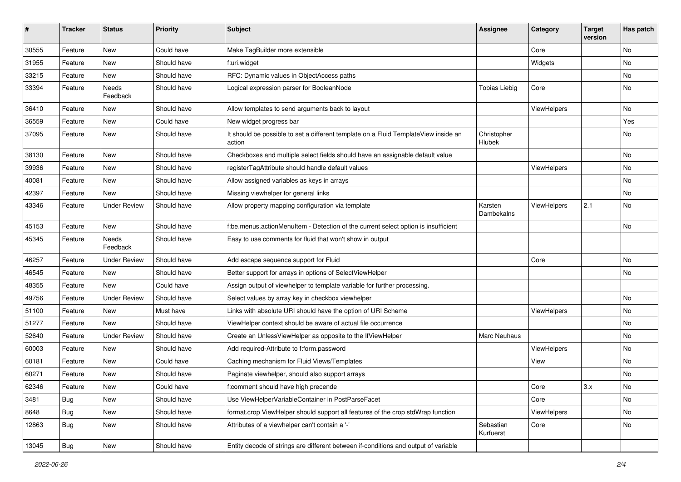| #     | <b>Tracker</b> | <b>Status</b>       | <b>Priority</b> | Subject                                                                                       | <b>Assignee</b>        | Category    | <b>Target</b><br>version | Has patch |
|-------|----------------|---------------------|-----------------|-----------------------------------------------------------------------------------------------|------------------------|-------------|--------------------------|-----------|
| 30555 | Feature        | New                 | Could have      | Make TagBuilder more extensible                                                               |                        | Core        |                          | No        |
| 31955 | Feature        | New                 | Should have     | f:uri.widget                                                                                  |                        | Widgets     |                          | No        |
| 33215 | Feature        | New                 | Should have     | RFC: Dynamic values in ObjectAccess paths                                                     |                        |             |                          | No        |
| 33394 | Feature        | Needs<br>Feedback   | Should have     | Logical expression parser for BooleanNode                                                     | <b>Tobias Liebig</b>   | Core        |                          | No        |
| 36410 | Feature        | New                 | Should have     | Allow templates to send arguments back to layout                                              |                        | ViewHelpers |                          | No        |
| 36559 | Feature        | New                 | Could have      | New widget progress bar                                                                       |                        |             |                          | Yes       |
| 37095 | Feature        | New                 | Should have     | It should be possible to set a different template on a Fluid TemplateView inside an<br>action | Christopher<br>Hlubek  |             |                          | No        |
| 38130 | Feature        | New                 | Should have     | Checkboxes and multiple select fields should have an assignable default value                 |                        |             |                          | No        |
| 39936 | Feature        | New                 | Should have     | registerTagAttribute should handle default values                                             |                        | ViewHelpers |                          | No        |
| 40081 | Feature        | New                 | Should have     | Allow assigned variables as keys in arrays                                                    |                        |             |                          | No        |
| 42397 | Feature        | New                 | Should have     | Missing viewhelper for general links                                                          |                        |             |                          | No        |
| 43346 | Feature        | <b>Under Review</b> | Should have     | Allow property mapping configuration via template                                             | Karsten<br>Dambekalns  | ViewHelpers | 2.1                      | No        |
| 45153 | Feature        | New                 | Should have     | f:be.menus.actionMenuItem - Detection of the current select option is insufficient            |                        |             |                          | No        |
| 45345 | Feature        | Needs<br>Feedback   | Should have     | Easy to use comments for fluid that won't show in output                                      |                        |             |                          |           |
| 46257 | Feature        | <b>Under Review</b> | Should have     | Add escape sequence support for Fluid                                                         |                        | Core        |                          | No        |
| 46545 | Feature        | New                 | Should have     | Better support for arrays in options of SelectViewHelper                                      |                        |             |                          | No        |
| 48355 | Feature        | New                 | Could have      | Assign output of viewhelper to template variable for further processing.                      |                        |             |                          |           |
| 49756 | Feature        | <b>Under Review</b> | Should have     | Select values by array key in checkbox viewhelper                                             |                        |             |                          | No        |
| 51100 | Feature        | New                 | Must have       | Links with absolute URI should have the option of URI Scheme                                  |                        | ViewHelpers |                          | No        |
| 51277 | Feature        | New                 | Should have     | ViewHelper context should be aware of actual file occurrence                                  |                        |             |                          | No        |
| 52640 | Feature        | <b>Under Review</b> | Should have     | Create an UnlessViewHelper as opposite to the IfViewHelper                                    | Marc Neuhaus           |             |                          | No        |
| 60003 | Feature        | New                 | Should have     | Add required-Attribute to f:form.password                                                     |                        | ViewHelpers |                          | No        |
| 60181 | Feature        | New                 | Could have      | Caching mechanism for Fluid Views/Templates                                                   |                        | View        |                          | No        |
| 60271 | Feature        | New                 | Should have     | Paginate viewhelper, should also support arrays                                               |                        |             |                          | No        |
| 62346 | Feature        | New                 | Could have      | f:comment should have high precende                                                           |                        | Core        | 3.X                      | No.       |
| 3481  | Bug            | New                 | Should have     | Use ViewHelperVariableContainer in PostParseFacet                                             |                        | Core        |                          | No        |
| 8648  | Bug            | New                 | Should have     | format.crop ViewHelper should support all features of the crop stdWrap function               |                        | ViewHelpers |                          | No        |
| 12863 | Bug            | New                 | Should have     | Attributes of a viewhelper can't contain a '-'                                                | Sebastian<br>Kurfuerst | Core        |                          | No        |
| 13045 | <b>Bug</b>     | New                 | Should have     | Entity decode of strings are different between if-conditions and output of variable           |                        |             |                          |           |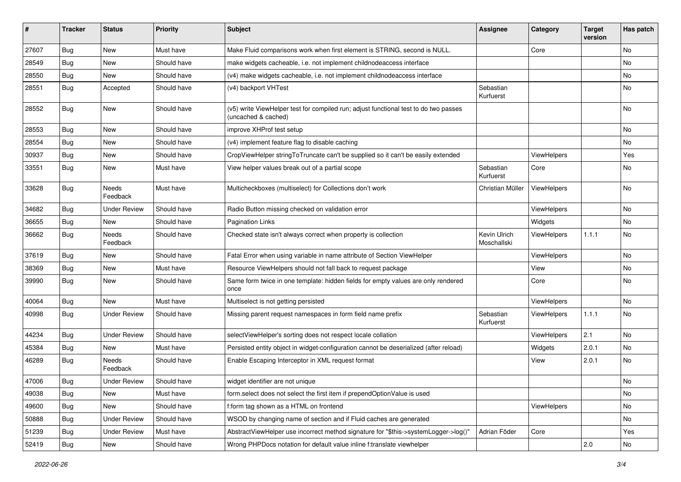| ∦     | <b>Tracker</b> | <b>Status</b>            | <b>Priority</b> | <b>Subject</b>                                                                                              | <b>Assignee</b>             | Category    | <b>Target</b><br>version | Has patch |
|-------|----------------|--------------------------|-----------------|-------------------------------------------------------------------------------------------------------------|-----------------------------|-------------|--------------------------|-----------|
| 27607 | Bug            | New                      | Must have       | Make Fluid comparisons work when first element is STRING, second is NULL.                                   |                             | Core        |                          | No        |
| 28549 | Bug            | New                      | Should have     | make widgets cacheable, i.e. not implement childnodeaccess interface                                        |                             |             |                          | No        |
| 28550 | Bug            | New                      | Should have     | (v4) make widgets cacheable, i.e. not implement childnodeaccess interface                                   |                             |             |                          | No        |
| 28551 | Bug            | Accepted                 | Should have     | (v4) backport VHTest                                                                                        | Sebastian<br>Kurfuerst      |             |                          | No        |
| 28552 | Bug            | <b>New</b>               | Should have     | (v5) write ViewHelper test for compiled run; adjust functional test to do two passes<br>(uncached & cached) |                             |             |                          | No        |
| 28553 | Bug            | New                      | Should have     | improve XHProf test setup                                                                                   |                             |             |                          | No.       |
| 28554 | Bug            | New                      | Should have     | (v4) implement feature flag to disable caching                                                              |                             |             |                          | No        |
| 30937 | Bug            | New                      | Should have     | CropViewHelper stringToTruncate can't be supplied so it can't be easily extended                            |                             | ViewHelpers |                          | Yes       |
| 33551 | Bug            | New                      | Must have       | View helper values break out of a partial scope                                                             | Sebastian<br>Kurfuerst      | Core        |                          | No        |
| 33628 | Bug            | Needs<br>Feedback        | Must have       | Multicheckboxes (multiselect) for Collections don't work                                                    | Christian Müller            | ViewHelpers |                          | No        |
| 34682 | Bug            | <b>Under Review</b>      | Should have     | Radio Button missing checked on validation error                                                            |                             | ViewHelpers |                          | No        |
| 36655 | Bug            | New                      | Should have     | <b>Pagination Links</b>                                                                                     |                             | Widgets     |                          | No.       |
| 36662 | Bug            | <b>Needs</b><br>Feedback | Should have     | Checked state isn't always correct when property is collection                                              | Kevin Ulrich<br>Moschallski | ViewHelpers | 1.1.1                    | No        |
| 37619 | Bug            | New                      | Should have     | Fatal Error when using variable in name attribute of Section ViewHelper                                     |                             | ViewHelpers |                          | No        |
| 38369 | Bug            | New                      | Must have       | Resource ViewHelpers should not fall back to request package                                                |                             | View        |                          | No        |
| 39990 | Bug            | New                      | Should have     | Same form twice in one template: hidden fields for empty values are only rendered<br>once                   |                             | Core        |                          | No        |
| 40064 | Bug            | New                      | Must have       | Multiselect is not getting persisted                                                                        |                             | ViewHelpers |                          | No        |
| 40998 | Bug            | <b>Under Review</b>      | Should have     | Missing parent request namespaces in form field name prefix                                                 | Sebastian<br>Kurfuerst      | ViewHelpers | 1.1.1                    | No        |
| 44234 | Bug            | <b>Under Review</b>      | Should have     | selectViewHelper's sorting does not respect locale collation                                                |                             | ViewHelpers | 2.1                      | <b>No</b> |
| 45384 | Bug            | New                      | Must have       | Persisted entity object in widget-configuration cannot be deserialized (after reload)                       |                             | Widgets     | 2.0.1                    | No        |
| 46289 | Bug            | Needs<br>Feedback        | Should have     | Enable Escaping Interceptor in XML request format                                                           |                             | View        | 2.0.1                    | No        |
| 47006 | Bug            | <b>Under Review</b>      | Should have     | widget identifier are not unique                                                                            |                             |             |                          | No        |
| 49038 | Bug            | New                      | Must have       | form.select does not select the first item if prependOptionValue is used                                    |                             |             |                          | No        |
| 49600 | Bug            | New                      | Should have     | f:form tag shown as a HTML on frontend                                                                      |                             | ViewHelpers |                          | No        |
| 50888 | Bug            | <b>Under Review</b>      | Should have     | WSOD by changing name of section and if Fluid caches are generated                                          |                             |             |                          | No        |
| 51239 | <b>Bug</b>     | <b>Under Review</b>      | Must have       | AbstractViewHelper use incorrect method signature for "\$this->systemLogger->log()"                         | Adrian Föder                | Core        |                          | Yes       |
| 52419 | Bug            | New                      | Should have     | Wrong PHPDocs notation for default value inline f:translate viewhelper                                      |                             |             | 2.0                      | No        |